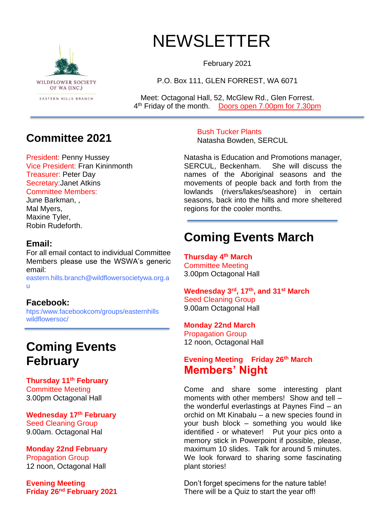

# NEWSLETTER

February 2021

P.O. Box 111, GLEN FORREST, WA 6071

Meet: Octagonal Hall, 52, McGlew Rd., Glen Forrest. 4<sup>th</sup> Friday of the month. Doors open 7.00pm for 7.30pm

## **Committee 2021**

President: Penny Hussey Vice President: Fran Kininmonth Treasurer: Peter Day Secretary:Janet Atkins Committee Members:

June Barkman, , Mal Myers, Maxine Tyler, Robin Rudeforth.

### **Email:**

For all email contact to individual Committee Members please use the WSWA's generic email:

eastern.hills.branch@wildflowersocietywa.org.a u

#### **Facebook:**

htps:/www.facebookcom/groups/easternhills wildflowersoc/

# **Coming Events February**

**Thursday 11th February** Committee Meeting 3.00pm Octagonal Hall

**Wednesday 17th February** Seed Cleaning Group 9.00am. Octagonal Hal

**Monday 22nd February** Propagation Group 12 noon, Octagonal Hall

**Evening Meeting Friday 26 nd February 2021** Bush Tucker Plants Natasha Bowden, SERCUL

Natasha is Education and Promotions manager, SERCUL, Beckenham. She will discuss the names of the Aboriginal seasons and the movements of people back and forth from the lowlands (rivers/lakes/seashore) in certain seasons, back into the hills and more sheltered regions for the cooler months.

# **Coming Events March**

**Thursday 4 th March** Committee Meeting 3.00pm Octagonal Hall

**Wednesday 3rd, 17th, and 31st March** Seed Cleaning Group 9.00am Octagonal Hall

#### **Monday 22nd March**

Propagation Group 12 noon, Octagonal Hall

### **Evening Meeting Friday 26th March Members' Night**

Come and share some interesting plant moments with other members! Show and tell – the wonderful everlastings at Paynes Find – an orchid on Mt Kinabalu – a new species found in your bush block – something you would like identified - or whatever! Put your pics onto a memory stick in Powerpoint if possible, please, maximum 10 slides. Talk for around 5 minutes. We look forward to sharing some fascinating plant stories!

Don't forget specimens for the nature table! There will be a Quiz to start the year off!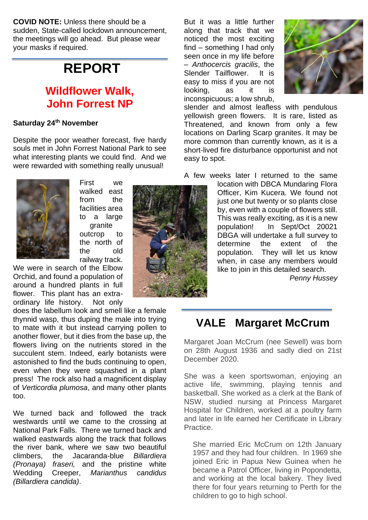**COVID NOTE:** Unless there should be a sudden, State-called lockdown announcement, the meetings will go ahead. But please wear your masks if required.

# **REPORT**

## **Wildflower Walk, John Forrest NP**

#### **Saturday 24th November**

Despite the poor weather forecast, five hardy souls met in John Forrest National Park to see what interesting plants we could find. And we were rewarded with something really unusual!



First we walked east from the facilities area to a large granite outcrop to the north of the old railway track.

We were in search of the Elbow Orchid, and found a population of around a hundred plants in full flower. This plant has an extraordinary life history. Not only

does the labellum look and smell like a female thynnid wasp, thus duping the male into trying to mate with it but instead carrying pollen to another flower, but it dies from the base up, the flowers living on the nutrients stored in the succulent stem. Indeed, early botanists were astonished to find the buds continuing to open, even when they were squashed in a plant press! The rock also had a magnificent display of *Verticordia plumosa*, and many other plants too.

We turned back and followed the track westwards until we came to the crossing at National Park Falls. There we turned back and walked eastwards along the track that follows the river bank, where we saw two beautiful climbers, the Jacaranda-blue *Billardiera (Pronaya) fraseri,* and the pristine white Wedding Creeper, *Marianthus candidus (Billardiera candida)*.





slender and almost leafless with pendulous yellowish green flowers. It is rare, listed as Threatened, and known from only a few locations on Darling Scarp granites. It may be more common than currently known, as it is a short-lived fire disturbance opportunist and not easy to spot.

A few weeks later I returned to the same

location with DBCA Mundaring Flora Officer, Kim Kucera. We found not just one but twenty or so plants close by, even with a couple of flowers still. This was really exciting, as it is a new population! In Sept/Oct 20021 DBGA will undertake a full survey to determine the extent of the population. They will let us know when, in case any members would like to join in this detailed search.

*Penny Hussey*

# **VALE Margaret McCrum**

Margaret Joan McCrum (nee Sewell) was born on 28th August 1936 and sadly died on 21st December 2020.

She was a keen sportswoman, enjoying an active life, swimming, playing tennis and basketball. She worked as a clerk at the Bank of NSW, studied nursing at Princess Margaret Hospital for Children, worked at a poultry farm and later in life earned her Certificate in Library Practice.

She married Eric McCrum on 12th January 1957 and they had four children. In 1969 she joined Eric in Papua New Guinea when he became a Patrol Officer, living in Popondetta, and working at the local bakery. They lived there for four years returning to Perth for the children to go to high school.

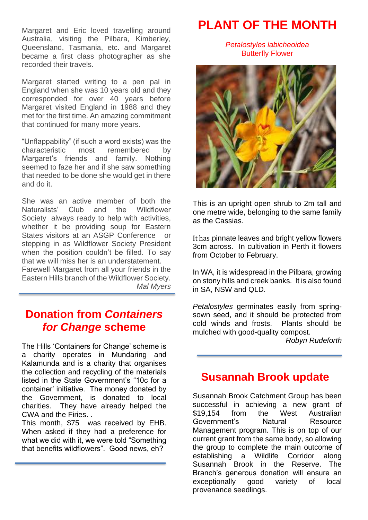Margaret and Eric loved travelling around Australia, visiting the Pilbara, Kimberley, Queensland, Tasmania, etc. and Margaret became a first class photographer as she recorded their travels.

Margaret started writing to a pen pal in England when she was 10 years old and they corresponded for over 40 years before Margaret visited England in 1988 and they met for the first time. An amazing commitment that continued for many more years.

"Unflappability" (if such a word exists) was the characteristic most remembered by Margaret's friends and family. Nothing seemed to faze her and if she saw something that needed to be done she would get in there and do it.

She was an active member of both the Naturalists' Club and the Wildflower Society always ready to help with activities, whether it be providing soup for Eastern States visitors at an ASGP Conference or stepping in as Wildflower Society President when the position couldn't be filled. To say that we will miss her is an understatement. Farewell Margaret from all your friends in the Eastern Hills branch of the Wildflower Society. *Mal Myers*

## **Donation from** *Containers for Change* **scheme**

The Hills 'Containers for Change' scheme is a charity operates in Mundaring and Kalamunda and is a charity that organises the collection and recycling of the materials listed in the State Government's "10c for a container' initiative. The money donated by the Government, is donated to local charities. They have already helped the CWA and the Firies. .

This month, \$75 was received by EHB. When asked if they had a preference for what we did with it, we were told "Something that benefits wildflowers". Good news, eh?

# **PLANT OF THE MONTH**

*Petalostyles labicheoidea* Butterfly Flower



This is an upright open shrub to 2m tall and one metre wide, belonging to the same family as the Cassias.

It has pinnate leaves and bright yellow flowers 3cm across. In cultivation in Perth it flowers from October to February.

In WA, it is widespread in the Pilbara, growing on stony hills and creek banks. It is also found in SA, NSW and QLD.

*Petalostyles* germinates easily from springsown seed, and it should be protected from cold winds and frosts. Plants should be mulched with good-quality compost.

*Robyn Rudeforth*

## **Susannah Brook update**

Susannah Brook Catchment Group has been successful in achieving a new grant of \$19,154 from the West Australian Government's Natural Resource Management program. This is on top of our current grant from the same body, so allowing the group to complete the main outcome of establishing a Wildlife Corridor along Susannah Brook in the Reserve. The Branch's generous donation will ensure an exceptionally good variety of local provenance seedlings.